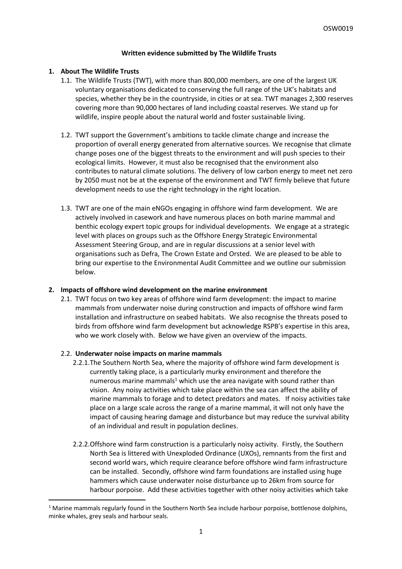## **Written evidence submitted by The Wildlife Trusts**

#### **1. About The Wildlife Trusts**

- 1.1. The Wildlife Trusts (TWT), with more than 800,000 members, are one of the largest UK voluntary organisations dedicated to conserving the full range of the UK's habitats and species, whether they be in the countryside, in cities or at sea. TWT manages 2,300 reserves covering more than 90,000 hectares of land including coastal reserves. We stand up for wildlife, inspire people about the natural world and foster sustainable living.
- 1.2. TWT support the Government's ambitions to tackle climate change and increase the proportion of overall energy generated from alternative sources. We recognise that climate change poses one of the biggest threats to the environment and will push species to their ecological limits. However, it must also be recognised that the environment also contributes to natural climate solutions. The delivery of low carbon energy to meet net zero by 2050 must not be at the expense of the environment and TWT firmly believe that future development needs to use the right technology in the right location.
- 1.3. TWT are one of the main eNGOs engaging in offshore wind farm development. We are actively involved in casework and have numerous places on both marine mammal and benthic ecology expert topic groups for individual developments. We engage at a strategic level with places on groups such as the Offshore Energy Strategic Environmental Assessment Steering Group, and are in regular discussions at a senior level with organisations such as Defra, The Crown Estate and Orsted. We are pleased to be able to bring our expertise to the Environmental Audit Committee and we outline our submission below.

## **2. Impacts of offshore wind development on the marine environment**

2.1. TWT focus on two key areas of offshore wind farm development: the impact to marine mammals from underwater noise during construction and impacts of offshore wind farm installation and infrastructure on seabed habitats. We also recognise the threats posed to birds from offshore wind farm development but acknowledge RSPB's expertise in this area, who we work closely with. Below we have given an overview of the impacts.

#### 2.2. **Underwater noise impacts on marine mammals**

- 2.2.1.The Southern North Sea, where the majority of offshore wind farm development is currently taking place, is a particularly murky environment and therefore the numerous marine mammals<sup>1</sup> which use the area navigate with sound rather than vision. Any noisy activities which take place within the sea can affect the ability of marine mammals to forage and to detect predators and mates. If noisy activities take place on a large scale across the range of a marine mammal, it will not only have the impact of causing hearing damage and disturbance but may reduce the survival ability of an individual and result in population declines.
- 2.2.2.Offshore wind farm construction is a particularly noisy activity. Firstly, the Southern North Sea is littered with Unexploded Ordinance (UXOs), remnants from the first and second world wars, which require clearance before offshore wind farm infrastructure can be installed. Secondly, offshore wind farm foundations are installed using huge hammers which cause underwater noise disturbance up to 26km from source for harbour porpoise. Add these activities together with other noisy activities which take

 $1$  Marine mammals regularly found in the Southern North Sea include harbour porpoise, bottlenose dolphins, minke whales, grey seals and harbour seals.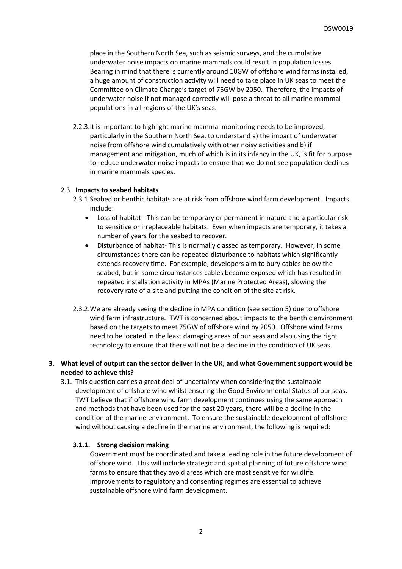place in the Southern North Sea, such as seismic surveys, and the cumulative underwater noise impacts on marine mammals could result in population losses. Bearing in mind that there is currently around 10GW of offshore wind farms installed, a huge amount of construction activity will need to take place in UK seas to meet the Committee on Climate Change's target of 75GW by 2050. Therefore, the impacts of underwater noise if not managed correctly will pose a threat to all marine mammal populations in all regions of the UK's seas.

2.2.3.It is important to highlight marine mammal monitoring needs to be improved, particularly in the Southern North Sea, to understand a) the impact of underwater noise from offshore wind cumulatively with other noisy activities and b) if management and mitigation, much of which is in its infancy in the UK, is fit for purpose to reduce underwater noise impacts to ensure that we do not see population declines in marine mammals species.

#### 2.3. **Impacts to seabed habitats**

- 2.3.1.Seabed or benthic habitats are at risk from offshore wind farm development. Impacts include:
	- Loss of habitat This can be temporary or permanent in nature and a particular risk to sensitive or irreplaceable habitats. Even when impacts are temporary, it takes a number of years for the seabed to recover.
	- Disturbance of habitat- This is normally classed as temporary. However, in some circumstances there can be repeated disturbance to habitats which significantly extends recovery time. For example, developers aim to bury cables below the seabed, but in some circumstances cables become exposed which has resulted in repeated installation activity in MPAs (Marine Protected Areas), slowing the recovery rate of a site and putting the condition of the site at risk.
- 2.3.2.We are already seeing the decline in MPA condition (see section 5) due to offshore wind farm infrastructure. TWT is concerned about impacts to the benthic environment based on the targets to meet 75GW of offshore wind by 2050. Offshore wind farms need to be located in the least damaging areas of our seas and also using the right technology to ensure that there will not be a decline in the condition of UK seas.

## **3. What level of output can the sector deliver in the UK, and what Government support would be needed to achieve this?**

3.1. This question carries a great deal of uncertainty when considering the sustainable development of offshore wind whilst ensuring the Good Environmental Status of our seas. TWT believe that if offshore wind farm development continues using the same approach and methods that have been used for the past 20 years, there will be a decline in the condition of the marine environment. To ensure the sustainable development of offshore wind without causing a decline in the marine environment, the following is required:

#### **3.1.1. Strong decision making**

Government must be coordinated and take a leading role in the future development of offshore wind. This will include strategic and spatial planning of future offshore wind farms to ensure that they avoid areas which are most sensitive for wildlife. Improvements to regulatory and consenting regimes are essential to achieve sustainable offshore wind farm development.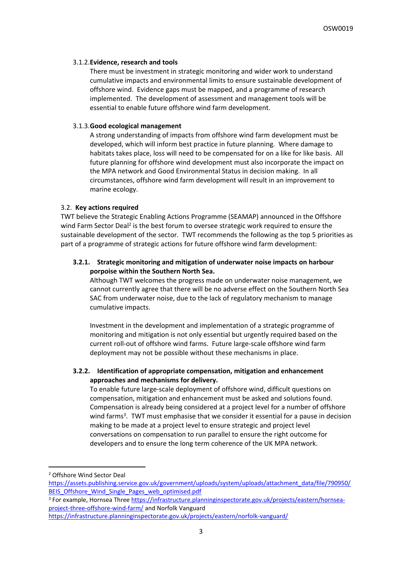## 3.1.2.**Evidence, research and tools**

There must be investment in strategic monitoring and wider work to understand cumulative impacts and environmental limits to ensure sustainable development of offshore wind. Evidence gaps must be mapped, and a programme of research implemented. The development of assessment and management tools will be essential to enable future offshore wind farm development.

## 3.1.3.**Good ecological management**

A strong understanding of impacts from offshore wind farm development must be developed, which will inform best practice in future planning. Where damage to habitats takes place, loss will need to be compensated for on a like for like basis. All future planning for offshore wind development must also incorporate the impact on the MPA network and Good Environmental Status in decision making. In all circumstances, offshore wind farm development will result in an improvement to marine ecology.

## 3.2. **Key actions required**

TWT believe the Strategic Enabling Actions Programme (SEAMAP) announced in the Offshore wind Farm Sector Deal<sup>2</sup> is the best forum to oversee strategic work required to ensure the sustainable development of the sector. TWT recommends the following as the top 5 priorities as part of a programme of strategic actions for future offshore wind farm development:

# **3.2.1. Strategic monitoring and mitigation of underwater noise impacts on harbour porpoise within the Southern North Sea.**

Although TWT welcomes the progress made on underwater noise management, we cannot currently agree that there will be no adverse effect on the Southern North Sea SAC from underwater noise, due to the lack of regulatory mechanism to manage cumulative impacts.

Investment in the development and implementation of a strategic programme of monitoring and mitigation is not only essential but urgently required based on the current roll-out of offshore wind farms. Future large-scale offshore wind farm deployment may not be possible without these mechanisms in place.

# **3.2.2. Identification of appropriate compensation, mitigation and enhancement approaches and mechanisms for delivery.**

To enable future large-scale deployment of offshore wind, difficult questions on compensation, mitigation and enhancement must be asked and solutions found. Compensation is already being considered at a project level for a number of offshore wind farms<sup>3</sup>. TWT must emphasise that we consider it essential for a pause in decision making to be made at a project level to ensure strategic and project level conversations on compensation to run parallel to ensure the right outcome for developers and to ensure the long term coherence of the UK MPA network.

<sup>2</sup> Offshore Wind Sector Deal

[https://assets.publishing.service.gov.uk/government/uploads/system/uploads/attachment\\_data/file/790950/](https://assets.publishing.service.gov.uk/government/uploads/system/uploads/attachment_data/file/790950/BEIS_Offshore_Wind_Single_Pages_web_optimised.pdf) BEIS Offshore Wind Single Pages web optimised.pdf

<sup>3</sup> For example, Hornsea Three [https://infrastructure.planninginspectorate.gov.uk/projects/eastern/hornsea](https://infrastructure.planninginspectorate.gov.uk/projects/eastern/hornsea-project-three-offshore-wind-farm/)[project-three-offshore-wind-farm/](https://infrastructure.planninginspectorate.gov.uk/projects/eastern/hornsea-project-three-offshore-wind-farm/) and Norfolk Vanguard

<https://infrastructure.planninginspectorate.gov.uk/projects/eastern/norfolk-vanguard/>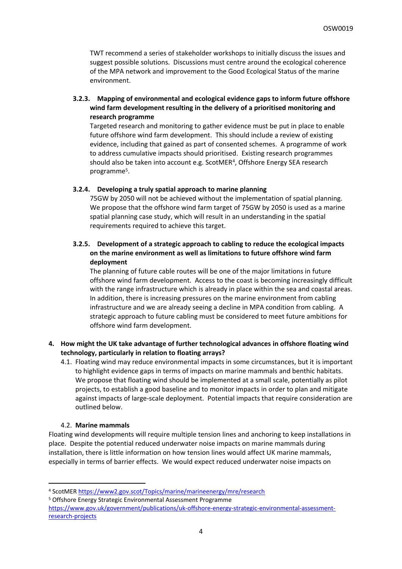TWT recommend a series of stakeholder workshops to initially discuss the issues and suggest possible solutions. Discussions must centre around the ecological coherence of the MPA network and improvement to the Good Ecological Status of the marine environment.

**3.2.3. Mapping of environmental and ecological evidence gaps to inform future offshore wind farm development resulting in the delivery of a prioritised monitoring and research programme** 

Targeted research and monitoring to gather evidence must be put in place to enable future offshore wind farm development. This should include a review of existing evidence, including that gained as part of consented schemes. A programme of work to address cumulative impacts should prioritised. Existing research programmes should also be taken into account e.g. ScotMER<sup>4</sup>, Offshore Energy SEA research programme<sup>5</sup> .

## **3.2.4. Developing a truly spatial approach to marine planning**

75GW by 2050 will not be achieved without the implementation of spatial planning. We propose that the offshore wind farm target of 75GW by 2050 is used as a marine spatial planning case study, which will result in an understanding in the spatial requirements required to achieve this target.

# **3.2.5. Development of a strategic approach to cabling to reduce the ecological impacts on the marine environment as well as limitations to future offshore wind farm deployment**

The planning of future cable routes will be one of the major limitations in future offshore wind farm development. Access to the coast is becoming increasingly difficult with the range infrastructure which is already in place within the sea and coastal areas. In addition, there is increasing pressures on the marine environment from cabling infrastructure and we are already seeing a decline in MPA condition from cabling. A strategic approach to future cabling must be considered to meet future ambitions for offshore wind farm development.

## **4. How might the UK take advantage of further technological advances in offshore floating wind technology, particularly in relation to floating arrays?**

4.1. Floating wind may reduce environmental impacts in some circumstances, but it is important to highlight evidence gaps in terms of impacts on marine mammals and benthic habitats. We propose that floating wind should be implemented at a small scale, potentially as pilot projects, to establish a good baseline and to monitor impacts in order to plan and mitigate against impacts of large-scale deployment. Potential impacts that require consideration are outlined below.

## 4.2. **Marine mammals**

Floating wind developments will require multiple tension lines and anchoring to keep installations in place. Despite the potential reduced underwater noise impacts on marine mammals during installation, there is little information on how tension lines would affect UK marine mammals, especially in terms of barrier effects. We would expect reduced underwater noise impacts on

<sup>4</sup> ScotMER <https://www2.gov.scot/Topics/marine/marineenergy/mre/research>

<sup>5</sup> Offshore Energy Strategic Environmental Assessment Programme

[https://www.gov.uk/government/publications/uk-offshore-energy-strategic-environmental-assessment](https://www.gov.uk/government/publications/uk-offshore-energy-strategic-environmental-assessment-research-projects)[research-projects](https://www.gov.uk/government/publications/uk-offshore-energy-strategic-environmental-assessment-research-projects)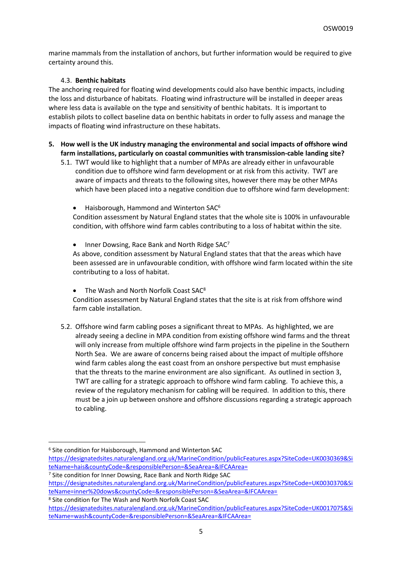marine mammals from the installation of anchors, but further information would be required to give certainty around this.

## 4.3. **Benthic habitats**

The anchoring required for floating wind developments could also have benthic impacts, including the loss and disturbance of habitats. Floating wind infrastructure will be installed in deeper areas where less data is available on the type and sensitivity of benthic habitats. It is important to establish pilots to collect baseline data on benthic habitats in order to fully assess and manage the impacts of floating wind infrastructure on these habitats.

- **5. How well is the UK industry managing the environmental and social impacts of offshore wind farm installations, particularly on coastal communities with transmission-cable landing site?**
	- 5.1. TWT would like to highlight that a number of MPAs are already either in unfavourable condition due to offshore wind farm development or at risk from this activity. TWT are aware of impacts and threats to the following sites, however there may be other MPAs which have been placed into a negative condition due to offshore wind farm development:
		- Haisborough, Hammond and Winterton SAC<sup>6</sup>

Condition assessment by Natural England states that the whole site is 100% in unfavourable condition, with offshore wind farm cables contributing to a loss of habitat within the site.

Inner Dowsing, Race Bank and North Ridge SAC<sup>7</sup>

As above, condition assessment by Natural England states that that the areas which have been assessed are in unfavourable condition, with offshore wind farm located within the site contributing to a loss of habitat.

The Wash and North Norfolk Coast SAC<sup>8</sup>

Condition assessment by Natural England states that the site is at risk from offshore wind farm cable installation.

5.2. Offshore wind farm cabling poses a significant threat to MPAs. As highlighted, we are already seeing a decline in MPA condition from existing offshore wind farms and the threat will only increase from multiple offshore wind farm projects in the pipeline in the Southern North Sea. We are aware of concerns being raised about the impact of multiple offshore wind farm cables along the east coast from an onshore perspective but must emphasise that the threats to the marine environment are also significant. As outlined in section 3, TWT are calling for a strategic approach to offshore wind farm cabling. To achieve this, a review of the regulatory mechanism for cabling will be required. In addition to this, there must be a join up between onshore and offshore discussions regarding a strategic approach to cabling.

<sup>6</sup> Site condition for Haisborough, Hammond and Winterton SAC

[https://designatedsites.naturalengland.org.uk/MarineCondition/publicFeatures.aspx?SiteCode=UK0030369&Si](https://designatedsites.naturalengland.org.uk/MarineCondition/publicFeatures.aspx?SiteCode=UK0030369&SiteName=hais&countyCode=&responsiblePerson=&SeaArea=&IFCAArea=) [teName=hais&countyCode=&responsiblePerson=&SeaArea=&IFCAArea=](https://designatedsites.naturalengland.org.uk/MarineCondition/publicFeatures.aspx?SiteCode=UK0030369&SiteName=hais&countyCode=&responsiblePerson=&SeaArea=&IFCAArea=)

<sup>7</sup> Site condition for Inner Dowsing, Race Bank and North Ridge SAC

[https://designatedsites.naturalengland.org.uk/MarineCondition/publicFeatures.aspx?SiteCode=UK0030370&Si](https://designatedsites.naturalengland.org.uk/MarineCondition/publicFeatures.aspx?SiteCode=UK0030370&SiteName=inner%20dows&countyCode=&responsiblePerson=&SeaArea=&IFCAArea=) [teName=inner%20dows&countyCode=&responsiblePerson=&SeaArea=&IFCAArea=](https://designatedsites.naturalengland.org.uk/MarineCondition/publicFeatures.aspx?SiteCode=UK0030370&SiteName=inner%20dows&countyCode=&responsiblePerson=&SeaArea=&IFCAArea=)

<sup>8</sup> Site condition for The Wash and North Norfolk Coast SAC

[https://designatedsites.naturalengland.org.uk/MarineCondition/publicFeatures.aspx?SiteCode=UK0017075&Si](https://designatedsites.naturalengland.org.uk/MarineCondition/publicFeatures.aspx?SiteCode=UK0017075&SiteName=wash&countyCode=&responsiblePerson=&SeaArea=&IFCAArea=) [teName=wash&countyCode=&responsiblePerson=&SeaArea=&IFCAArea=](https://designatedsites.naturalengland.org.uk/MarineCondition/publicFeatures.aspx?SiteCode=UK0017075&SiteName=wash&countyCode=&responsiblePerson=&SeaArea=&IFCAArea=)